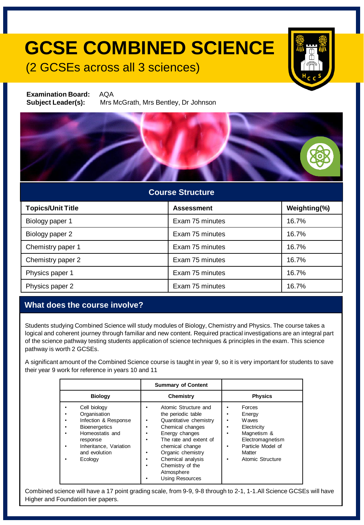# **GCSE COMBINED SCIENCE**

### (2 GCSEs across all 3 sciences)



**Examination Board:** AQA **Subject Leader(s):** Mrs McGrath, Mrs Bentley, Dr Johnson



### **Course Structure**

| <b>Topics/Unit Title</b> | <b>Assessment</b> | Weighting(%) |
|--------------------------|-------------------|--------------|
| Biology paper 1          | Exam 75 minutes   | 16.7%        |
| Biology paper 2          | Exam 75 minutes   | 16.7%        |
| Chemistry paper 1        | Exam 75 minutes   | 16.7%        |
| Chemistry paper 2        | Exam 75 minutes   | 16.7%        |
| Physics paper 1          | Exam 75 minutes   | 16.7%        |
| Physics paper 2          | Exam 75 minutes   | 16.7%        |

### **What does the course involve?**

Students studying Combined Science will study modules of Biology, Chemistry and Physics. The course takes a logical and coherent journey through familiar and new content. Required practical investigations are an integral part of the science pathway testing students application of science techniques & principles in the exam. This science pathway is worth 2 GCSEs.

A significant amount of the Combined Science course is taught in year 9, so it is very important for students to save their year 9 work for reference in years 10 and 11

|                                                                                                                                                                   | <b>Summary of Content</b>                                                                                                                                                                                                                                          |                                                                                                                                                                  |
|-------------------------------------------------------------------------------------------------------------------------------------------------------------------|--------------------------------------------------------------------------------------------------------------------------------------------------------------------------------------------------------------------------------------------------------------------|------------------------------------------------------------------------------------------------------------------------------------------------------------------|
| <b>Biology</b>                                                                                                                                                    | Chemistry                                                                                                                                                                                                                                                          | <b>Physics</b>                                                                                                                                                   |
| Cell biology<br>Organisation<br>Infection & Response<br><b>Bioenergetics</b><br>Homeostatis and<br>response<br>Inheritance, Variation<br>and evolution<br>Ecology | Atomic Structure and<br>the periodic table<br>Quantitative chemistry<br>٠<br>Chemical changes<br>Energy changes<br>The rate and extent of<br>chemical change<br>Organic chemistry<br>Chemical analysis<br>Chemistry of the<br>Atmosphere<br><b>Using Resources</b> | Forces<br>Energy<br><b>Waves</b><br>٠<br>Electricity<br>Magnetism &<br>٠<br>Electromagnetism<br>Particle Model of<br>٠<br>Matter<br><b>Atomic Structure</b><br>٠ |

Combined science will have a 17 point grading scale, from 9-9, 9-8 through to 2-1, 1-1.All Science GCSEs will have Higher and Foundation tier papers.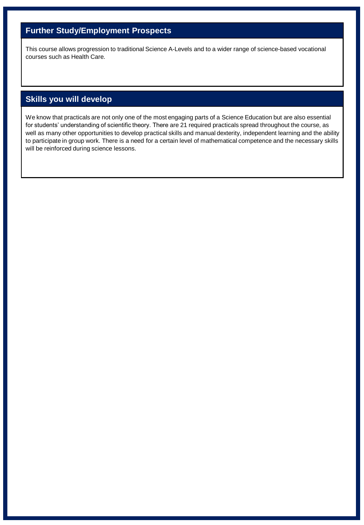### **Further Study/Employment Prospects**

This course allows progression to traditional Science A-Levels and to a wider range of science-based vocational courses such as Health Care.

### **Skills you will develop**

We know that practicals are not only one of the most engaging parts of a Science Education but are also essential for students' understanding of scientific theory. There are 21 required practicals spread throughout the course, as well as many other opportunities to develop practical skills and manual dexterity, independent learning and the ability to participate in group work. There is a need for a certain level of mathematical competence and the necessary skills will be reinforced during science lessons.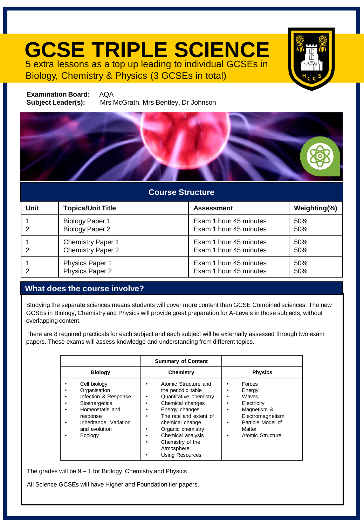## **GCSE TRIPLE SCIENCE** 5 extra lessons as a top up leading to individual GCSEs in

Biology, Chemistry & Physics (3 GCSEs in total)



**Examination Board:** AQA **Subject Leader(s):** Mrs McGrath, Mrs Bentley, Dr Johnson



### **Course Structure**

| Unit | <b>Topics/Unit Title</b> | <b>Assessment</b>      | Weighting(%) |
|------|--------------------------|------------------------|--------------|
| 2    | <b>Biology Paper 1</b>   | Exam 1 hour 45 minutes | 50%          |
|      | <b>Biology Paper 2</b>   | Exam 1 hour 45 minutes | 50%          |
| 2    | <b>Chemistry Paper 1</b> | Exam 1 hour 45 minutes | 50%          |
|      | <b>Chemistry Paper 2</b> | Exam 1 hour 45 minutes | 50%          |
| 2    | Physics Paper 1          | Exam 1 hour 45 minutes | 50%          |
|      | Physics Paper 2          | Exam 1 hour 45 minutes | 50%          |

#### **What does the course involve?**

Studying the separate sciences means students will cover more content than GCSE Combined sciences. The new GCSEs in Biology, Chemistry and Physics will provide great preparation for A-Levels in those subjects, without overlapping content.

There are 8 required practicals for each subject and each subject will be externally assessed through two exam papers. These exams will assess knowledge and understanding from different topics.

|                                                                                                                                                                                       | <b>Summary of Content</b>                                                                                                                                                                                                                                     |                                                                                                                                       |
|---------------------------------------------------------------------------------------------------------------------------------------------------------------------------------------|---------------------------------------------------------------------------------------------------------------------------------------------------------------------------------------------------------------------------------------------------------------|---------------------------------------------------------------------------------------------------------------------------------------|
| <b>Biology</b>                                                                                                                                                                        | Chemistry                                                                                                                                                                                                                                                     | <b>Physics</b>                                                                                                                        |
| Cell biology<br>Organisation<br>Infection & Response<br>٠<br><b>Bioenergetics</b><br>٠<br>Homeostatis and<br>٠<br>response<br>Inheritance, Variation<br>٠<br>and evolution<br>Ecology | Atomic Structure and<br>the periodic table<br>Quantitative chemistry<br>Chemical changes<br>Energy changes<br>The rate and extent of<br>chemical change<br>Organic chemistry<br>Chemical analysis<br>Chemistry of the<br>Atmosphere<br><b>Using Resources</b> | Forces<br>Energy<br>Waves<br>Electricity<br>Magnetism &<br>Electromagnetism<br>Particle Model of<br>Matter<br><b>Atomic Structure</b> |

The grades will be 9 – 1 for Biology, Chemistry and Physics

All Science GCSEs will have Higher and Foundation tier papers.